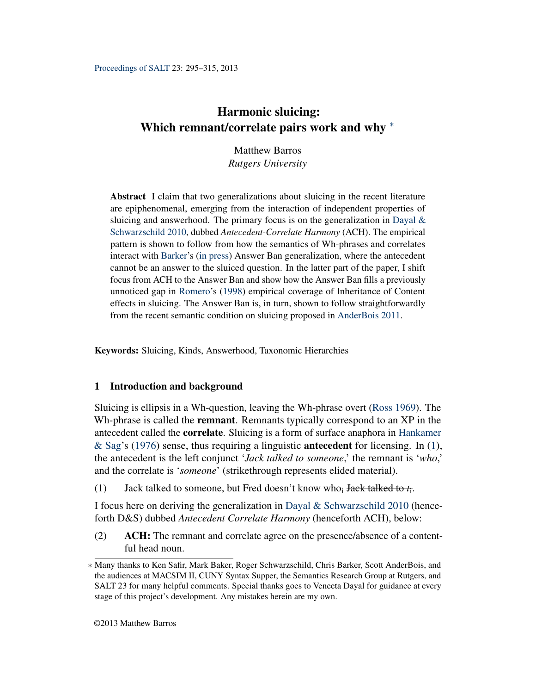# <span id="page-0-1"></span>Harmonic sluicing: Which remnant/correlate pairs work and why <sup>∗</sup>

Matthew Barros *Rutgers University*

Abstract I claim that two generalizations about sluicing in the recent literature are epiphenomenal, emerging from the interaction of independent properties of sluicing and answerhood. The primary focus is on the generalization in Dayal  $\&$ [Schwarzschild](#page-18-0) [2010,](#page-18-0) dubbed *Antecedent-Correlate Harmony* (ACH). The empirical pattern is shown to follow from how the semantics of Wh-phrases and correlates interact with [Barker'](#page-18-1)s [\(in press\)](#page-18-1) Answer Ban generalization, where the antecedent cannot be an answer to the sluiced question. In the latter part of the paper, I shift focus from ACH to the Answer Ban and show how the Answer Ban fills a previously unnoticed gap in [Romero'](#page-19-0)s [\(1998\)](#page-19-0) empirical coverage of Inheritance of Content effects in sluicing. The Answer Ban is, in turn, shown to follow straightforwardly from the recent semantic condition on sluicing proposed in [AnderBois](#page-18-2) [2011.](#page-18-2)

Keywords: Sluicing, Kinds, Answerhood, Taxonomic Hierarchies

## 1 Introduction and background

Sluicing is ellipsis in a Wh-question, leaving the Wh-phrase overt [\(Ross](#page-19-1) [1969\)](#page-19-1). The Wh-phrase is called the **remnant**. Remnants typically correspond to an XP in the antecedent called the correlate. Sluicing is a form of surface anaphora in [Hankamer](#page-18-3) [& Sag'](#page-18-3)s [\(1976\)](#page-18-3) sense, thus requiring a linguistic **antecedent** for licensing. In [\(1\)](#page-0-0), the antecedent is the left conjunct '*Jack talked to someone*,' the remnant is '*who*,' and the correlate is '*someone*' (strikethrough represents elided material).

<span id="page-0-0"></span>(1) Jack talked to someone, but Fred doesn't know who<sup>i</sup> Jack talked to *t*<sup>i</sup> .

I focus here on deriving the generalization in [Dayal & Schwarzschild](#page-18-0) [2010](#page-18-0) (henceforth D&S) dubbed *Antecedent Correlate Harmony* (henceforth ACH), below:

(2) ACH: The remnant and correlate agree on the presence/absence of a contentful head noun.

<sup>∗</sup> Many thanks to Ken Safir, Mark Baker, Roger Schwarzschild, Chris Barker, Scott AnderBois, and the audiences at MACSIM II, CUNY Syntax Supper, the Semantics Research Group at Rutgers, and SALT 23 for many helpful comments. Special thanks goes to Veneeta Dayal for guidance at every stage of this project's development. Any mistakes herein are my own.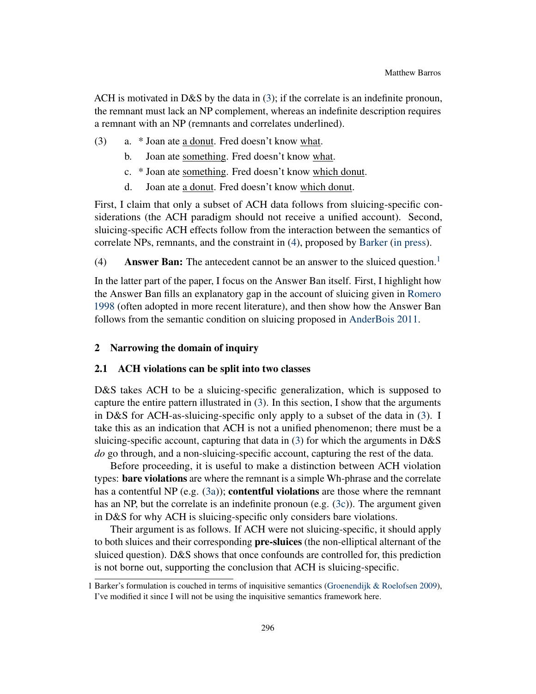ACH is motivated in D&S by the data in [\(3\)](#page-1-0); if the correlate is an indefinite pronoun, the remnant must lack an NP complement, whereas an indefinite description requires a remnant with an NP (remnants and correlates underlined).

- <span id="page-1-2"></span><span id="page-1-0"></span>(3) a. \* Joan ate a donut. Fred doesn't know what.
	- b. Joan ate something. Fred doesn't know what.
	- c. \* Joan ate something. Fred doesn't know which donut.
	- d. Joan ate a donut. Fred doesn't know which donut.

First, I claim that only a subset of ACH data follows from sluicing-specific considerations (the ACH paradigm should not receive a unified account). Second, sluicing-specific ACH effects follow from the interaction between the semantics of correlate NPs, remnants, and the constraint in [\(4\)](#page-1-1), proposed by [Barker](#page-18-1) [\(in press\)](#page-18-1).

<span id="page-1-1"></span>(4) Answer Ban: The antecedent cannot be an answer to the sluiced question.<sup>[1](#page-0-1)</sup>

In the latter part of the paper, I focus on the Answer Ban itself. First, I highlight how the Answer Ban fills an explanatory gap in the account of sluicing given in [Romero](#page-19-0) [1998](#page-19-0) (often adopted in more recent literature), and then show how the Answer Ban follows from the semantic condition on sluicing proposed in [AnderBois](#page-18-2) [2011.](#page-18-2)

## 2 Narrowing the domain of inquiry

#### <span id="page-1-3"></span>2.1 ACH violations can be split into two classes

D&S takes ACH to be a sluicing-specific generalization, which is supposed to capture the entire pattern illustrated in [\(3\)](#page-1-0). In this section, I show that the arguments in D&S for ACH-as-sluicing-specific only apply to a subset of the data in [\(3\)](#page-1-0). I take this as an indication that ACH is not a unified phenomenon; there must be a sluicing-specific account, capturing that data in  $(3)$  for which the arguments in D&S *do* go through, and a non-sluicing-specific account, capturing the rest of the data.

Before proceeding, it is useful to make a distinction between ACH violation types: **bare violations** are where the remnant is a simple Wh-phrase and the correlate has a contentful NP (e.g.  $(3a)$ ); **contentful violations** are those where the remnant has an NP, but the correlate is an indefinite pronoun (e.g. [\(3c\)](#page-1-2)). The argument given in D&S for why ACH is sluicing-specific only considers bare violations.

Their argument is as follows. If ACH were not sluicing-specific, it should apply to both sluices and their corresponding **pre-sluices** (the non-elliptical alternant of the sluiced question). D&S shows that once confounds are controlled for, this prediction is not borne out, supporting the conclusion that ACH is sluicing-specific.

<sup>1</sup> Barker's formulation is couched in terms of inquisitive semantics [\(Groenendijk & Roelofsen](#page-18-4) [2009\)](#page-18-4), I've modified it since I will not be using the inquisitive semantics framework here.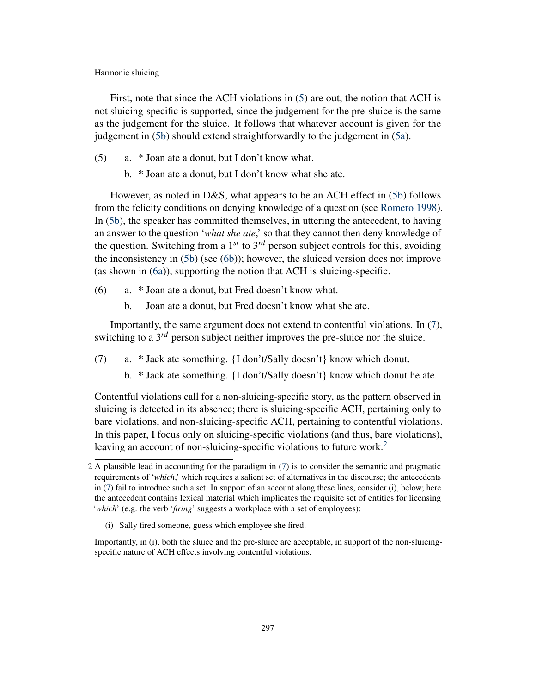First, note that since the ACH violations in [\(5\)](#page-2-0) are out, the notion that ACH is not sluicing-specific is supported, since the judgement for the pre-sluice is the same as the judgement for the sluice. It follows that whatever account is given for the judgement in [\(5b\)](#page-2-1) should extend straightforwardly to the judgement in [\(5a\)](#page-2-0).

- <span id="page-2-1"></span><span id="page-2-0"></span>(5) a. \* Joan ate a donut, but I don't know what.
	- b. \* Joan ate a donut, but I don't know what she ate.

However, as noted in D&S, what appears to be an ACH effect in [\(5b\)](#page-2-1) follows from the felicity conditions on denying knowledge of a question (see [Romero](#page-19-0) [1998\)](#page-19-0). In [\(5b\)](#page-2-1), the speaker has committed themselves, in uttering the antecedent, to having an answer to the question '*what she ate*,' so that they cannot then deny knowledge of the question. Switching from a  $1^{st}$  to  $3^{rd}$  person subject controls for this, avoiding the inconsistency in [\(5b\)](#page-2-1) (see [\(6b\)](#page-2-2)); however, the sluiced version does not improve (as shown in [\(6a\)](#page-2-3)), supporting the notion that ACH is sluicing-specific.

- <span id="page-2-3"></span><span id="page-2-2"></span>(6) a. \* Joan ate a donut, but Fred doesn't know what.
	- b. Joan ate a donut, but Fred doesn't know what she ate.

Importantly, the same argument does not extend to contentful violations. In [\(7\)](#page-2-4), switching to a  $3^{rd}$  person subject neither improves the pre-sluice nor the sluice.

- <span id="page-2-4"></span>(7) a. \* Jack ate something. {I don't/Sally doesn't} know which donut.
	- b. \* Jack ate something. {I don't/Sally doesn't} know which donut he ate.

Contentful violations call for a non-sluicing-specific story, as the pattern observed in sluicing is detected in its absence; there is sluicing-specific ACH, pertaining only to bare violations, and non-sluicing-specific ACH, pertaining to contentful violations. In this paper, I focus only on sluicing-specific violations (and thus, bare violations), leaving an account of non-sluicing-specific violations to future work.<sup>[2](#page-0-1)</sup>

Importantly, in (i), both the sluice and the pre-sluice are acceptable, in support of the non-sluicingspecific nature of ACH effects involving contentful violations.

<sup>2</sup> A plausible lead in accounting for the paradigm in [\(7\)](#page-2-4) is to consider the semantic and pragmatic requirements of '*which*,' which requires a salient set of alternatives in the discourse; the antecedents in [\(7\)](#page-2-4) fail to introduce such a set. In support of an account along these lines, consider (i), below; here the antecedent contains lexical material which implicates the requisite set of entities for licensing '*which*' (e.g. the verb '*firing*' suggests a workplace with a set of employees):

<sup>(</sup>i) Sally fired someone, guess which employee she fired.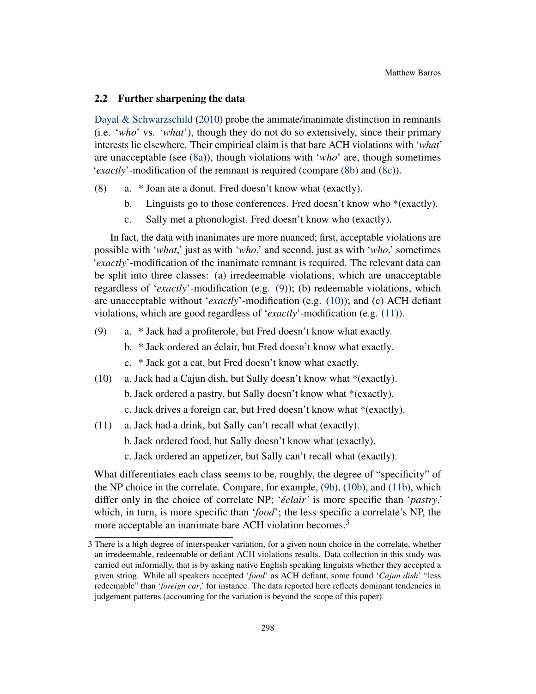## 2.2 Further sharpening the data

[Dayal & Schwarzschild](#page-18-0) [\(2010\)](#page-18-0) probe the animate/inanimate distinction in remnants (i.e. '*who*' vs. '*what*'), though they do not do so extensively, since their primary interests lie elsewhere. Their empirical claim is that bare ACH violations with '*what*' are unacceptable (see [\(8a\)](#page-3-0)), though violations with '*who*' are, though sometimes '*exactly*'-modification of the remnant is required (compare [\(8b\)](#page-3-1) and [\(8c\)](#page-3-2)).

- <span id="page-3-1"></span><span id="page-3-0"></span>(8) a. \* Joan ate a donut. Fred doesn't know what (exactly).
	- b. Linguists go to those conferences. Fred doesn't know who \*(exactly).
	- c. Sally met a phonologist. Fred doesn't know who (exactly).

<span id="page-3-2"></span>In fact, the data with inanimates are more nuanced; first, acceptable violations are possible with '*what*,' just as with '*who*,' and second, just as with '*who*,' sometimes '*exactly*'-modification of the inanimate remnant is required. The relevant data can be split into three classes: (a) irredeemable violations, which are unacceptable regardless of '*exactly*'-modification (e.g. [\(9\)](#page-3-3)); (b) redeemable violations, which are unacceptable without '*exactly*'-modification (e.g. [\(10\)](#page-3-4)); and (c) ACH defiant violations, which are good regardless of '*exactly*'-modification (e.g. [\(11\)](#page-3-5)).

- <span id="page-3-6"></span><span id="page-3-3"></span>(9) a. \* Jack had a profiterole, but Fred doesn't know what exactly.
	- b. \* Jack ordered an éclair, but Fred doesn't know what exactly.
	- c. \* Jack got a cat, but Fred doesn't know what exactly.
- <span id="page-3-7"></span><span id="page-3-4"></span>(10) a. Jack had a Cajun dish, but Sally doesn't know what \*(exactly).
	- b. Jack ordered a pastry, but Sally doesn't know what \*(exactly).
	- c. Jack drives a foreign car, but Fred doesn't know what \*(exactly).
- <span id="page-3-8"></span><span id="page-3-5"></span>(11) a. Jack had a drink, but Sally can't recall what (exactly).
	- b. Jack ordered food, but Sally doesn't know what (exactly).
	- c. Jack ordered an appetizer, but Sally can't recall what (exactly).

What differentiates each class seems to be, roughly, the degree of "specificity" of the NP choice in the correlate. Compare, for example, [\(9b\)](#page-3-6), [\(10b\)](#page-3-7), and [\(11b\)](#page-3-8), which differ only in the choice of correlate NP; '*éclair'* is more specific than '*pastry*,' which, in turn, is more specific than '*food*'; the less specific a correlate's NP, the more acceptable an inanimate bare ACH violation becomes.<sup>[3](#page-0-1)</sup>

<sup>3</sup> There is a high degree of interspeaker variation, for a given noun choice in the correlate, whether an irredeemable, redeemable or defiant ACH violations results. Data collection in this study was carried out informally, that is by asking native English speaking linguists whether they accepted a given string. While all speakers accepted '*food*' as ACH defiant, some found '*Cajun dish*' "less redeemable" than '*foreign car*,' for instance. The data reported here reflects dominant tendencies in judgement patterns (accounting for the variation is beyond the scope of this paper).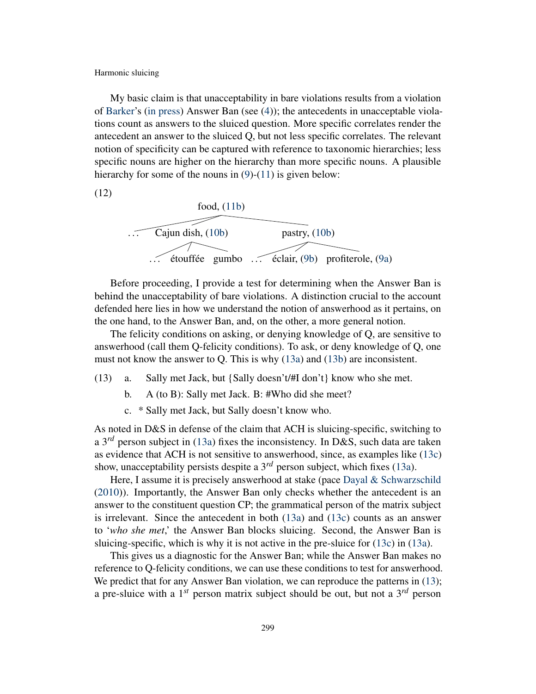My basic claim is that unacceptability in bare violations results from a violation of [Barker'](#page-18-1)s [\(in press\)](#page-18-1) Answer Ban (see [\(4\)](#page-1-1)); the antecedents in unacceptable violations count as answers to the sluiced question. More specific correlates render the antecedent an answer to the sluiced Q, but not less specific correlates. The relevant notion of specificity can be captured with reference to taxonomic hierarchies; less specific nouns are higher on the hierarchy than more specific nouns. A plausible hierarchy for some of the nouns in [\(9\)](#page-3-3)-[\(11\)](#page-3-5) is given below:

<span id="page-4-3"></span>(12)



Before proceeding, I provide a test for determining when the Answer Ban is behind the unacceptability of bare violations. A distinction crucial to the account defended here lies in how we understand the notion of answerhood as it pertains, on the one hand, to the Answer Ban, and, on the other, a more general notion.

The felicity conditions on asking, or denying knowledge of Q, are sensitive to answerhood (call them Q-felicity conditions). To ask, or deny knowledge of Q, one must not know the answer to Q. This is why [\(13a\)](#page-4-0) and [\(13b\)](#page-4-1) are inconsistent.

- <span id="page-4-1"></span><span id="page-4-0"></span>(13) a. Sally met Jack, but {Sally doesn't/#I don't} know who she met.
	- b. A (to B): Sally met Jack. B: #Who did she meet?
	- c. \* Sally met Jack, but Sally doesn't know who.

<span id="page-4-2"></span>As noted in D&S in defense of the claim that ACH is sluicing-specific, switching to a 3*rd* person subject in [\(13a\)](#page-4-0) fixes the inconsistency. In D&S, such data are taken as evidence that ACH is not sensitive to answerhood, since, as examples like [\(13c\)](#page-4-2) show, unacceptability persists despite a 3*rd* person subject, which fixes [\(13a\)](#page-4-0).

Here, I assume it is precisely answerhood at stake (pace [Dayal & Schwarzschild](#page-18-0) [\(2010\)](#page-18-0)). Importantly, the Answer Ban only checks whether the antecedent is an answer to the constituent question CP; the grammatical person of the matrix subject is irrelevant. Since the antecedent in both [\(13a\)](#page-4-0) and [\(13c\)](#page-4-2) counts as an answer to '*who she met*,' the Answer Ban blocks sluicing. Second, the Answer Ban is sluicing-specific, which is why it is not active in the pre-sluice for [\(13c\)](#page-4-2) in [\(13a\)](#page-4-0).

This gives us a diagnostic for the Answer Ban; while the Answer Ban makes no reference to Q-felicity conditions, we can use these conditions to test for answerhood. We predict that for any Answer Ban violation, we can reproduce the patterns in [\(13\)](#page-4-0); a pre-sluice with a 1*st* person matrix subject should be out, but not a 3*rd* person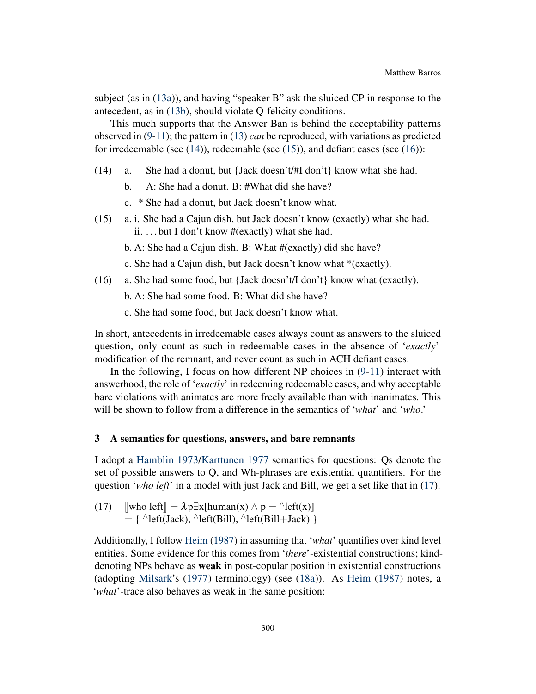subject (as in [\(13a\)](#page-4-0)), and having "speaker B" ask the sluiced CP in response to the antecedent, as in [\(13b\)](#page-4-1), should violate Q-felicity conditions.

This much supports that the Answer Ban is behind the acceptability patterns observed in [\(9-](#page-3-3)[11\)](#page-3-5); the pattern in [\(13\)](#page-4-0) *can* be reproduced, with variations as predicted for irredeemable (see  $(14)$ ), redeemable (see  $(15)$ ), and defiant cases (see  $(16)$ ):

- <span id="page-5-0"></span>(14) a. She had a donut, but {Jack doesn't/#I don't} know what she had.
	- b. A: She had a donut. B: #What did she have?
	- c. \* She had a donut, but Jack doesn't know what.
- <span id="page-5-1"></span>(15) a. i. She had a Cajun dish, but Jack doesn't know (exactly) what she had. ii. . . . but I don't know #(exactly) what she had.

b. A: She had a Cajun dish. B: What #(exactly) did she have?

c. She had a Cajun dish, but Jack doesn't know what \*(exactly).

- <span id="page-5-2"></span>(16) a. She had some food, but {Jack doesn't/I don't} know what (exactly).
	- b. A: She had some food. B: What did she have?
	- c. She had some food, but Jack doesn't know what.

In short, antecedents in irredeemable cases always count as answers to the sluiced question, only count as such in redeemable cases in the absence of '*exactly*' modification of the remnant, and never count as such in ACH defiant cases.

In the following, I focus on how different NP choices in  $(9-11)$  $(9-11)$  interact with answerhood, the role of '*exactly*' in redeeming redeemable cases, and why acceptable bare violations with animates are more freely available than with inanimates. This will be shown to follow from a difference in the semantics of '*what*' and '*who*.'

## 3 A semantics for questions, answers, and bare remnants

I adopt a [Hamblin](#page-18-5) [1973/](#page-18-5)[Karttunen](#page-19-2) [1977](#page-19-2) semantics for questions: Qs denote the set of possible answers to Q, and Wh-phrases are existential quantifiers. For the question '*who left*' in a model with just Jack and Bill, we get a set like that in [\(17\)](#page-5-3).

<span id="page-5-3"></span>(17) 
$$
\begin{array}{ll}\n\text{[who left]} = \lambda p \exists x [\text{human}(x) \land p = \text{left}(x)] \\
= \{ \text{left(Jack)}, \text{left(Bill)}, \text{left(Bill} + \text{Jack}) \}\n\end{array}
$$

Additionally, I follow [Heim](#page-18-6) [\(1987\)](#page-18-6) in assuming that '*what*' quantifies over kind level entities. Some evidence for this comes from '*there*'-existential constructions; kinddenoting NPs behave as **weak** in post-copular position in existential constructions (adopting [Milsark'](#page-19-3)s [\(1977\)](#page-19-3) terminology) (see [\(18a\)](#page-6-0)). As [Heim](#page-18-6) [\(1987\)](#page-18-6) notes, a '*what*'-trace also behaves as weak in the same position: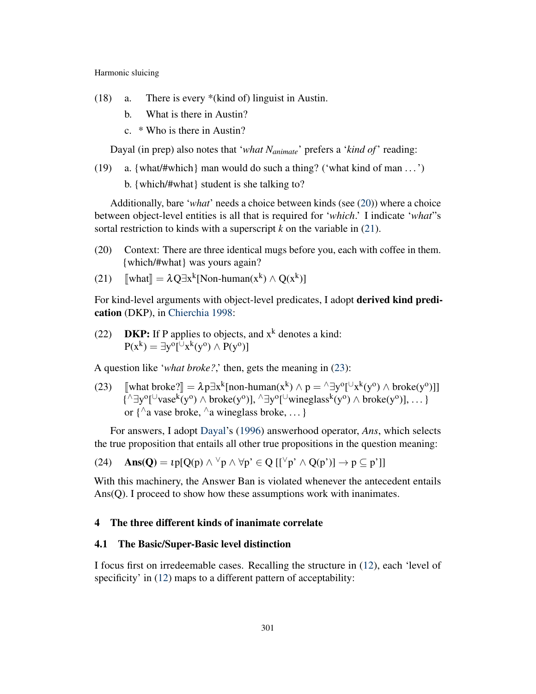- <span id="page-6-0"></span>(18) a. There is every \*(kind of) linguist in Austin.
	- b. What is there in Austin?
	- c. \* Who is there in Austin?

Dayal (in prep) also notes that '*what Nanimate*' prefers a '*kind of*' reading:

(19) a. {what/#which} man would do such a thing? ('what kind of man ...')

b. {which/#what} student is she talking to?

Additionally, bare '*what*' needs a choice between kinds (see [\(20\)](#page-6-1)) where a choice between object-level entities is all that is required for '*which*.' I indicate '*what*"s sortal restriction to kinds with a superscript *k* on the variable in [\(21\)](#page-6-2).

- <span id="page-6-1"></span>(20) Context: There are three identical mugs before you, each with coffee in them. {which/#what} was yours again?
- <span id="page-6-2"></span>(21)  $[\text{what}] = \lambda Q \exists x^k [\text{Non-human}(x^k) \wedge Q(x^k)]$

For kind-level arguments with object-level predicates, I adopt derived kind predication (DKP), in [Chierchia](#page-18-7) [1998:](#page-18-7)

(22) **DKP:** If P applies to objects, and  $x^k$  denotes a kind:  $P(x^k) = \exists y^o[\cup x^k(y^o) \wedge P(y^o)]$ 

A question like '*what broke?*,' then, gets the meaning in [\(23\)](#page-6-3):

<span id="page-6-3"></span>(23)  $\left[\text{what broke?}\right] = \lambda p \exists x^k [\text{non-human}(x^k) \land p = \land \exists y^o[\forall x^k(y^o) \land \text{broken}(y^o)]$ {<sup> $\wedge$ </sup> ∃y<sup>o</sup>[<sup>∪</sup>vase<sup>k</sup>(y<sup>o</sup>)  $\wedge$  broke(y<sup>o</sup>)],  $\wedge \exists y$ <sup>o</sup>[<sup>∪</sup>wineglass<sup>k</sup>(y<sup>o</sup>)  $\wedge$  broke(y<sup>o</sup>)], ... } or  $\{^{\wedge}$  a vase broke,  $^{\wedge}$  a wineglass broke, ... }

For answers, I adopt [Dayal'](#page-18-8)s [\(1996\)](#page-18-8) answerhood operator, *Ans*, which selects the true proposition that entails all other true propositions in the question meaning:

$$
(24)\quad \ \mathbf{Ans}(\mathbf{Q})=\iota p[Q(p)\wedge {}^{\vee}p\wedge \forall p \textrm{'}\in Q\;[[{}^{\vee}p\textrm{'}\wedge Q(p\textrm{'})]\rightarrow p\subseteq p\textrm{'}]]
$$

With this machinery, the Answer Ban is violated whenever the antecedent entails Ans(Q). I proceed to show how these assumptions work with inanimates.

## 4 The three different kinds of inanimate correlate

## <span id="page-6-4"></span>4.1 The Basic/Super-Basic level distinction

I focus first on irredeemable cases. Recalling the structure in [\(12\)](#page-4-3), each 'level of specificity' in  $(12)$  maps to a different pattern of acceptability: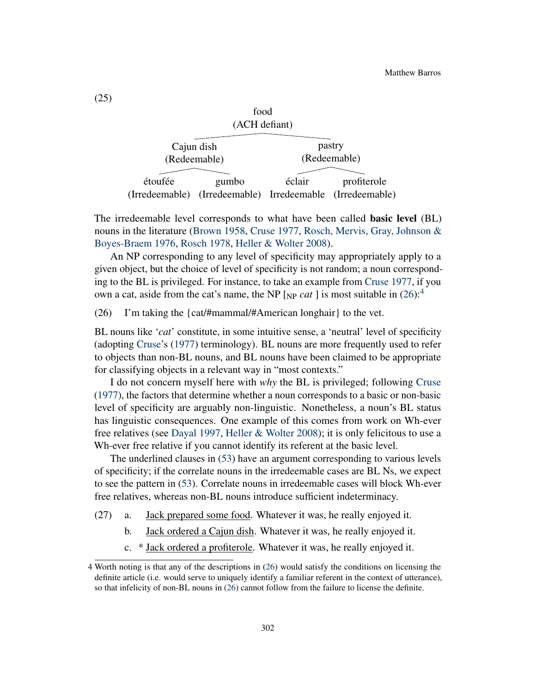| ivvu         |                                                           |              |             |  |  |  |  |
|--------------|-----------------------------------------------------------|--------------|-------------|--|--|--|--|
|              | (ACH defiant)                                             |              |             |  |  |  |  |
|              |                                                           |              |             |  |  |  |  |
| Cajun dish   |                                                           | pastry       |             |  |  |  |  |
| (Redeemable) |                                                           | (Redeemable) |             |  |  |  |  |
|              |                                                           |              |             |  |  |  |  |
| étoufée      | gumbo                                                     | éclair       | profiterole |  |  |  |  |
|              | (Irredeemable) (Irredeemable) Irredeemable (Irredeemable) |              |             |  |  |  |  |

food

The irredeemable level corresponds to what have been called **basic level** (BL) nouns in the literature [\(Brown](#page-18-9) [1958,](#page-18-9) [Cruse](#page-18-10) [1977,](#page-18-10) [Rosch, Mervis, Gray, Johnson &](#page-19-4) [Boyes-Braem](#page-19-4) [1976,](#page-19-4) [Rosch](#page-19-5) [1978,](#page-19-5) [Heller & Wolter](#page-18-11) [2008\)](#page-18-11).

An NP corresponding to any level of specificity may appropriately apply to a given object, but the choice of level of specificity is not random; a noun corresponding to the BL is privileged. For instance, to take an example from [Cruse](#page-18-10) [1977,](#page-18-10) if you own a cat, aside from the cat's name, the NP  $_{\text{NP}}$  *cat* ] is most suitable in [\(26\)](#page-7-0):<sup>[4](#page-0-1)</sup>

<span id="page-7-0"></span>(26) I'm taking the {cat/#mammal/#American longhair} to the vet.

BL nouns like '*cat*' constitute, in some intuitive sense, a 'neutral' level of specificity (adopting [Cruse'](#page-18-10)s [\(1977\)](#page-18-10) terminology). BL nouns are more frequently used to refer to objects than non-BL nouns, and BL nouns have been claimed to be appropriate for classifying objects in a relevant way in "most contexts."

I do not concern myself here with *why* the BL is privileged; following [Cruse](#page-18-10) [\(1977\)](#page-18-10), the factors that determine whether a noun corresponds to a basic or non-basic level of specificity are arguably non-linguistic. Nonetheless, a noun's BL status has linguistic consequences. One example of this comes from work on Wh-ever free relatives (see [Dayal](#page-18-12) [1997,](#page-18-12) [Heller & Wolter](#page-18-11) [2008\)](#page-18-11); it is only felicitous to use a Wh-ever free relative if you cannot identify its referent at the basic level.

The underlined clauses in [\(53\)](#page-16-0) have an argument corresponding to various levels of specificity; if the correlate nouns in the irredeemable cases are BL Ns, we expect to see the pattern in [\(53\)](#page-16-0). Correlate nouns in irredeemable cases will block Wh-ever free relatives, whereas non-BL nouns introduce sufficient indeterminacy.

- (27) a. Jack prepared some food. Whatever it was, he really enjoyed it.
	- b. Jack ordered a Cajun dish. Whatever it was, he really enjoyed it.
	- c. \* Jack ordered a profiterole. Whatever it was, he really enjoyed it.

<sup>4</sup> Worth noting is that any of the descriptions in [\(26\)](#page-7-0) would satisfy the conditions on licensing the definite article (i.e. would serve to uniquely identify a familiar referent in the context of utterance), so that infelicity of non-BL nouns in [\(26\)](#page-7-0) cannot follow from the failure to license the definite.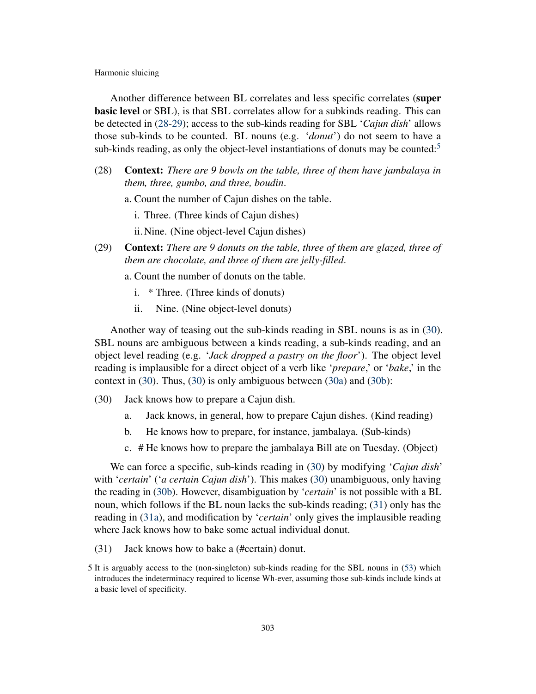Another difference between BL correlates and less specific correlates (super basic level or SBL), is that SBL correlates allow for a subkinds reading. This can be detected in [\(28-](#page-8-0)[29\)](#page-8-1); access to the sub-kinds reading for SBL '*Cajun dish*' allows those sub-kinds to be counted. BL nouns (e.g. '*donut*') do not seem to have a sub-kinds reading, as only the object-level instantiations of donuts may be counted: $5$ 

- <span id="page-8-0"></span>(28) Context: *There are 9 bowls on the table, three of them have jambalaya in them, three, gumbo, and three, boudin*.
	- a. Count the number of Cajun dishes on the table.
		- i. Three. (Three kinds of Cajun dishes)
		- ii.Nine. (Nine object-level Cajun dishes)
- <span id="page-8-1"></span>(29) Context: *There are 9 donuts on the table, three of them are glazed, three of them are chocolate, and three of them are jelly-filled*.
	- a. Count the number of donuts on the table.
		- i. \* Three. (Three kinds of donuts)
		- ii. Nine. (Nine object-level donuts)

Another way of teasing out the sub-kinds reading in SBL nouns is as in [\(30\)](#page-8-2). SBL nouns are ambiguous between a kinds reading, a sub-kinds reading, and an object level reading (e.g. '*Jack dropped a pastry on the floor*'). The object level reading is implausible for a direct object of a verb like '*prepare*,' or '*bake*,' in the context in [\(30\)](#page-8-2). Thus, [\(30\)](#page-8-2) is only ambiguous between [\(30a\)](#page-8-3) and [\(30b\)](#page-8-4):

- <span id="page-8-4"></span><span id="page-8-3"></span><span id="page-8-2"></span>(30) Jack knows how to prepare a Cajun dish.
	- a. Jack knows, in general, how to prepare Cajun dishes. (Kind reading)
	- b. He knows how to prepare, for instance, jambalaya. (Sub-kinds)
	- c. # He knows how to prepare the jambalaya Bill ate on Tuesday. (Object)

We can force a specific, sub-kinds reading in [\(30\)](#page-8-2) by modifying '*Cajun dish*' with '*certain*' ('*a certain Cajun dish*'). This makes [\(30\)](#page-8-2) unambiguous, only having the reading in [\(30b\)](#page-8-4). However, disambiguation by '*certain*' is not possible with a BL noun, which follows if the BL noun lacks the sub-kinds reading; [\(31\)](#page-8-5) only has the reading in [\(31a\)](#page-9-0), and modification by '*certain*' only gives the implausible reading where Jack knows how to bake some actual individual donut.

<span id="page-8-5"></span>(31) Jack knows how to bake a (#certain) donut.

<sup>5</sup> It is arguably access to the (non-singleton) sub-kinds reading for the SBL nouns in [\(53\)](#page-16-0) which introduces the indeterminacy required to license Wh-ever, assuming those sub-kinds include kinds at a basic level of specificity.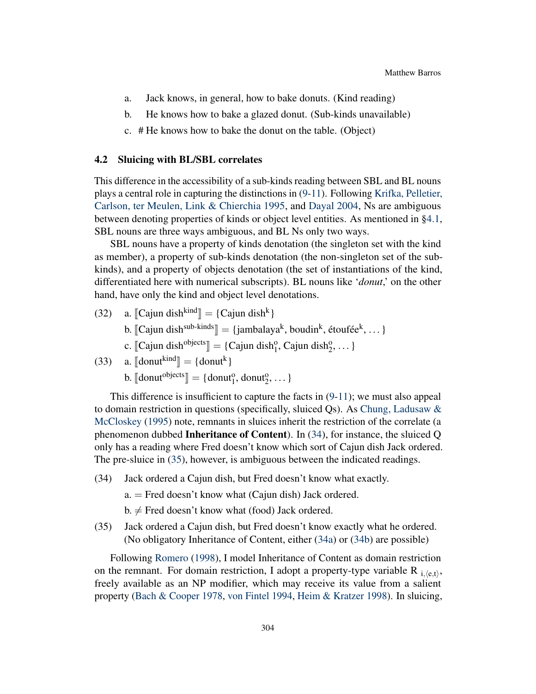- <span id="page-9-0"></span>a. Jack knows, in general, how to bake donuts. (Kind reading)
- b. He knows how to bake a glazed donut. (Sub-kinds unavailable)
- c. # He knows how to bake the donut on the table. (Object)

#### 4.2 Sluicing with BL/SBL correlates

This difference in the accessibility of a sub-kinds reading between SBL and BL nouns plays a central role in capturing the distinctions in [\(9](#page-3-3)[-11\)](#page-3-5). Following [Krifka, Pelletier,](#page-19-6) [Carlson, ter Meulen, Link & Chierchia](#page-19-6) [1995,](#page-19-6) and [Dayal](#page-18-13) [2004,](#page-18-13) Ns are ambiguous between denoting properties of kinds or object level entities. As mentioned in [§4.1,](#page-6-4) SBL nouns are three ways ambiguous, and BL Ns only two ways.

SBL nouns have a property of kinds denotation (the singleton set with the kind as member), a property of sub-kinds denotation (the non-singleton set of the subkinds), and a property of objects denotation (the set of instantiations of the kind, differentiated here with numerical subscripts). BL nouns like '*donut*,' on the other hand, have only the kind and object level denotations.

- (32) a.  $[\text{Cajun dish}^{\text{kind}}] = \{\text{Cajun dish}^{\text{k}}\}$ 
	- b.  $[\text{Cajun dish}^{\text{sub-kinds}}] = {\text{jambalaya}^k, \text{boudin}^k, \text{ étoutée}^k, \dots}$
	- c.  $[\text{Cajun dish}^{\text{objects}}] = \{\text{Cajun dish}_1^{\text{o}}, \text{Cajun dish}_2^{\text{o}}, \dots\}$
- (33) a.  $\llbracket \text{donut}^{\text{kind}} \rrbracket = {\text{donut}}^{\text{k}}$

b.  $\llbracket \text{donut}^{\text{objects}} \rrbracket = \{ \text{donut}_1^0, \text{donut}_2^0, \dots \}$ 

This difference is insufficient to capture the facts in [\(9](#page-3-3)[-11\)](#page-3-5); we must also appeal to domain restriction in questions (specifically, sluiced Qs). As [Chung, Ladusaw &](#page-18-14) [McCloskey](#page-18-14) [\(1995\)](#page-18-14) note, remnants in sluices inherit the restriction of the correlate (a phenomenon dubbed Inheritance of Content). In [\(34\)](#page-9-1), for instance, the sluiced Q only has a reading where Fred doesn't know which sort of Cajun dish Jack ordered. The pre-sluice in [\(35\)](#page-9-2), however, is ambiguous between the indicated readings.

<span id="page-9-3"></span><span id="page-9-1"></span>(34) Jack ordered a Cajun dish, but Fred doesn't know what exactly.

a. = Fred doesn't know what (Cajun dish) Jack ordered.

 $b. \neq$  Fred doesn't know what (food) Jack ordered.

<span id="page-9-4"></span><span id="page-9-2"></span>(35) Jack ordered a Cajun dish, but Fred doesn't know exactly what he ordered. (No obligatory Inheritance of Content, either [\(34a\)](#page-9-3) or [\(34b\)](#page-9-4) are possible)

Following [Romero](#page-19-0) [\(1998\)](#page-19-0), I model Inheritance of Content as domain restriction on the remnant. For domain restriction, I adopt a property-type variable R  $_{i,(e,t)}$ , freely available as an NP modifier, which may receive its value from a salient property [\(Bach & Cooper](#page-18-15) [1978,](#page-18-15) [von Fintel](#page-19-7) [1994,](#page-19-7) [Heim & Kratzer](#page-18-16) [1998\)](#page-18-16). In sluicing,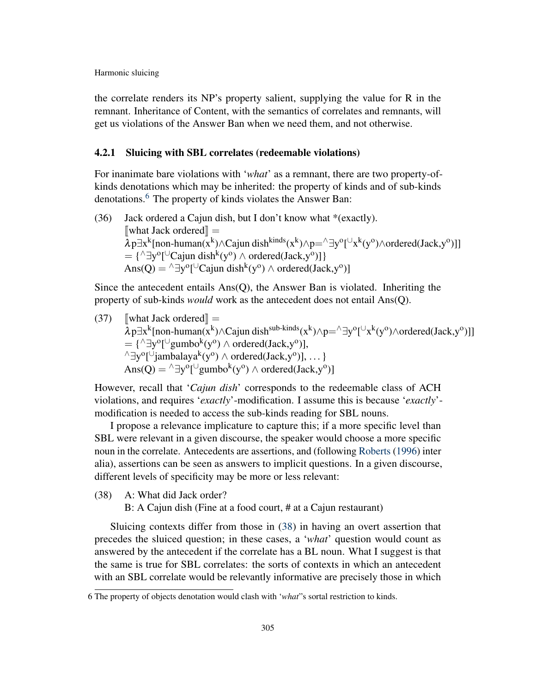the correlate renders its NP's property salient, supplying the value for R in the remnant. Inheritance of Content, with the semantics of correlates and remnants, will get us violations of the Answer Ban when we need them, and not otherwise.

#### 4.2.1 Sluicing with SBL correlates (redeemable violations)

For inanimate bare violations with '*what*' as a remnant, there are two property-ofkinds denotations which may be inherited: the property of kinds and of sub-kinds denotations.<sup>[6](#page-0-1)</sup> The property of kinds violates the Answer Ban:

(36) Jack ordered a Cajun dish, but I don't know what \*(exactly).  $\mathbb{I}$ what Jack ordered $\mathbb{I} =$  $\bar{\lambda}$ p $\exists x^k$ [non-human( $x^k$ )∧Cajun dish<sup>kinds</sup>( $x^k$ )∧p=^ $\exists y^o$ [ $\cup x^k$ ( $y^o$ )∧ordered(Jack,y<sup>o</sup>)]]  $= {\^\wedge \exists y^o [\cup \text{Cajun dish}^k(y^o) \land ordered(Jack, y^o)]\}$ Ans(Q) =  $\triangle$  ∃y<sup>o</sup>[<sup>∪</sup>Cajun dish<sup>k</sup>(y<sup>o</sup>)  $\wedge$  ordered(Jack,y<sup>o</sup>)]

Since the antecedent entails Ans(Q), the Answer Ban is violated. Inheriting the property of sub-kinds *would* work as the antecedent does not entail Ans(Q).

(37)  $\left[\text{what Jack ordered}\right] = \lambda p \exists x^k [\text{non-human}(x^k) \wedge \text{Cajun dish}^{\text{sub-kinds}}(x^k) \wedge p = \text{day}^{\text{o}}[\cup_{x^k} (y^{\text{o}}) \wedge \text{ordered}(\text{Jack}, y^{\text{o}})]\right]$  $= {\^\wedgeexists y^o [\text{``gumbo^k(y^o)} \wedge ordered(Jack, y^o)],$  $\land \exists y^o[\cup jambalaya^k(y^o) \land ordered(Jack,y^o)], \dots \}$ Ans(Q) = ^∃y<sup>o</sup>[<sup>∪</sup>gumbo<sup>k</sup>(y<sup>o</sup>) ∧ ordered(Jack,y<sup>o</sup>)]

However, recall that '*Cajun dish*' corresponds to the redeemable class of ACH violations, and requires '*exactly*'-modification. I assume this is because '*exactly*' modification is needed to access the sub-kinds reading for SBL nouns.

I propose a relevance implicature to capture this; if a more specific level than SBL were relevant in a given discourse, the speaker would choose a more specific noun in the correlate. Antecedents are assertions, and (following [Roberts](#page-19-8) [\(1996\)](#page-19-8) inter alia), assertions can be seen as answers to implicit questions. In a given discourse, different levels of specificity may be more or less relevant:

- <span id="page-10-0"></span>(38) A: What did Jack order?
	- B: A Cajun dish (Fine at a food court, # at a Cajun restaurant)

Sluicing contexts differ from those in [\(38\)](#page-10-0) in having an overt assertion that precedes the sluiced question; in these cases, a '*what*' question would count as answered by the antecedent if the correlate has a BL noun. What I suggest is that the same is true for SBL correlates: the sorts of contexts in which an antecedent with an SBL correlate would be relevantly informative are precisely those in which

<sup>6</sup> The property of objects denotation would clash with '*what*"s sortal restriction to kinds.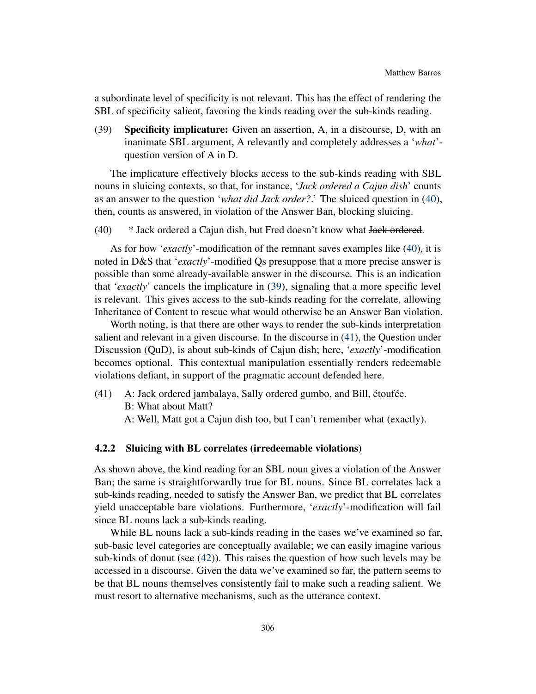a subordinate level of specificity is not relevant. This has the effect of rendering the SBL of specificity salient, favoring the kinds reading over the sub-kinds reading.

<span id="page-11-1"></span>(39) Specificity implicature: Given an assertion, A, in a discourse, D, with an inanimate SBL argument, A relevantly and completely addresses a '*what*' question version of A in D.

The implicature effectively blocks access to the sub-kinds reading with SBL nouns in sluicing contexts, so that, for instance, '*Jack ordered a Cajun dish*' counts as an answer to the question '*what did Jack order?*.' The sluiced question in [\(40\)](#page-11-0), then, counts as answered, in violation of the Answer Ban, blocking sluicing.

<span id="page-11-0"></span>(40) \* Jack ordered a Cajun dish, but Fred doesn't know what Jack ordered.

As for how '*exactly*'-modification of the remnant saves examples like [\(40\)](#page-11-0), it is noted in D&S that '*exactly*'-modified Qs presuppose that a more precise answer is possible than some already-available answer in the discourse. This is an indication that '*exactly*' cancels the implicature in [\(39\)](#page-11-1), signaling that a more specific level is relevant. This gives access to the sub-kinds reading for the correlate, allowing Inheritance of Content to rescue what would otherwise be an Answer Ban violation.

Worth noting, is that there are other ways to render the sub-kinds interpretation salient and relevant in a given discourse. In the discourse in [\(41\)](#page-11-2), the Question under Discussion (QuD), is about sub-kinds of Cajun dish; here, '*exactly*'-modification becomes optional. This contextual manipulation essentially renders redeemable violations defiant, in support of the pragmatic account defended here.

- <span id="page-11-2"></span>(41) A: Jack ordered jambalaya, Sally ordered gumbo, and Bill, étoufée.
	- B: What about Matt?
	- A: Well, Matt got a Cajun dish too, but I can't remember what (exactly).

## 4.2.2 Sluicing with BL correlates (irredeemable violations)

As shown above, the kind reading for an SBL noun gives a violation of the Answer Ban; the same is straightforwardly true for BL nouns. Since BL correlates lack a sub-kinds reading, needed to satisfy the Answer Ban, we predict that BL correlates yield unacceptable bare violations. Furthermore, '*exactly*'-modification will fail since BL nouns lack a sub-kinds reading.

While BL nouns lack a sub-kinds reading in the cases we've examined so far, sub-basic level categories are conceptually available; we can easily imagine various sub-kinds of donut (see [\(42\)](#page-12-0)). This raises the question of how such levels may be accessed in a discourse. Given the data we've examined so far, the pattern seems to be that BL nouns themselves consistently fail to make such a reading salient. We must resort to alternative mechanisms, such as the utterance context.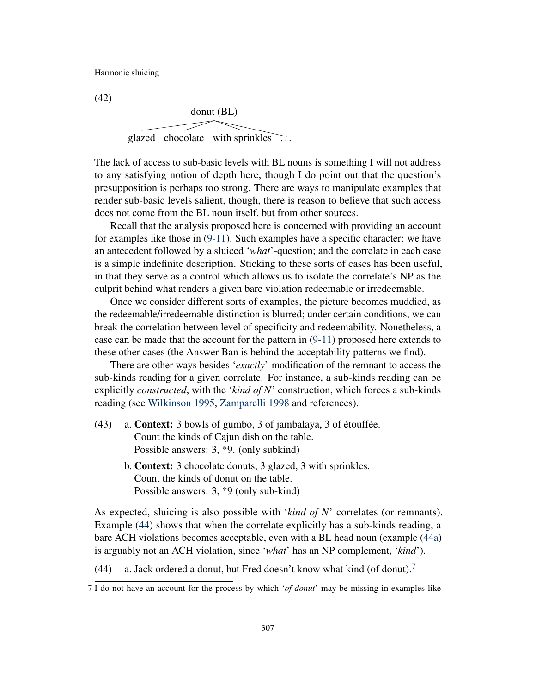<span id="page-12-0"></span>(42)

donut (BL) glazed chocolate with sprinkles . . .

The lack of access to sub-basic levels with BL nouns is something I will not address to any satisfying notion of depth here, though I do point out that the question's presupposition is perhaps too strong. There are ways to manipulate examples that render sub-basic levels salient, though, there is reason to believe that such access does not come from the BL noun itself, but from other sources.

Recall that the analysis proposed here is concerned with providing an account for examples like those in [\(9-](#page-3-3)[11\)](#page-3-5). Such examples have a specific character: we have an antecedent followed by a sluiced '*what*'-question; and the correlate in each case is a simple indefinite description. Sticking to these sorts of cases has been useful, in that they serve as a control which allows us to isolate the correlate's NP as the culprit behind what renders a given bare violation redeemable or irredeemable.

Once we consider different sorts of examples, the picture becomes muddied, as the redeemable/irredeemable distinction is blurred; under certain conditions, we can break the correlation between level of specificity and redeemability. Nonetheless, a case can be made that the account for the pattern in [\(9](#page-3-3)[-11\)](#page-3-5) proposed here extends to these other cases (the Answer Ban is behind the acceptability patterns we find).

There are other ways besides '*exactly*'-modification of the remnant to access the sub-kinds reading for a given correlate. For instance, a sub-kinds reading can be explicitly *constructed*, with the '*kind of N*' construction, which forces a sub-kinds reading (see [Wilkinson](#page-19-9) [1995,](#page-19-9) [Zamparelli](#page-19-10) [1998](#page-19-10) and references).

- (43) a. Context: 3 bowls of gumbo, 3 of jambalaya, 3 of étouffée. Count the kinds of Cajun dish on the table. Possible answers: 3, \*9. (only subkind)
	- b. Context: 3 chocolate donuts, 3 glazed, 3 with sprinkles. Count the kinds of donut on the table. Possible answers: 3, \*9 (only sub-kind)

As expected, sluicing is also possible with '*kind of N*' correlates (or remnants). Example [\(44\)](#page-12-1) shows that when the correlate explicitly has a sub-kinds reading, a bare ACH violations becomes acceptable, even with a BL head noun (example [\(44a\)](#page-12-1) is arguably not an ACH violation, since '*what*' has an NP complement, '*kind*').

<span id="page-12-1"></span>(44) a. Jack ordered a donut, but Fred doesn't know what kind (of donut).<sup>[7](#page-0-1)</sup>

<sup>7</sup> I do not have an account for the process by which '*of donut*' may be missing in examples like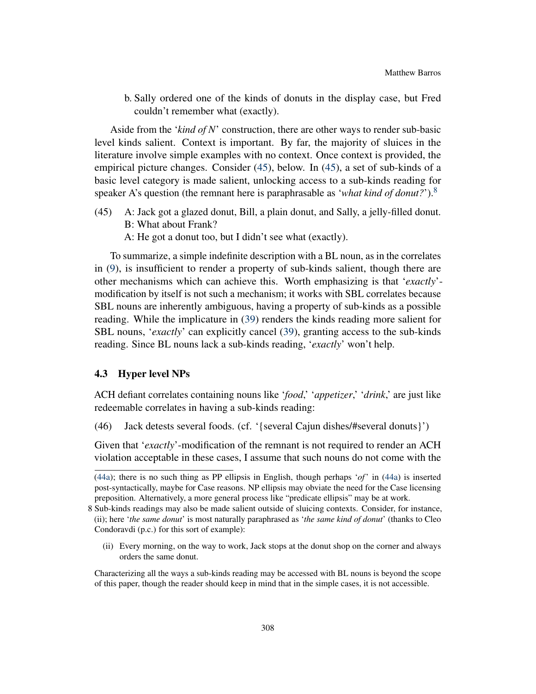b. Sally ordered one of the kinds of donuts in the display case, but Fred couldn't remember what (exactly).

Aside from the '*kind of N*' construction, there are other ways to render sub-basic level kinds salient. Context is important. By far, the majority of sluices in the literature involve simple examples with no context. Once context is provided, the empirical picture changes. Consider [\(45\)](#page-13-0), below. In [\(45\)](#page-13-0), a set of sub-kinds of a basic level category is made salient, unlocking access to a sub-kinds reading for speaker A's question (the remnant here is paraphrasable as '*what kind of donut?*').[8](#page-0-1)

- <span id="page-13-0"></span>(45) A: Jack got a glazed donut, Bill, a plain donut, and Sally, a jelly-filled donut. B: What about Frank?
	- A: He got a donut too, but I didn't see what (exactly).

To summarize, a simple indefinite description with a BL noun, as in the correlates in [\(9\)](#page-3-3), is insufficient to render a property of sub-kinds salient, though there are other mechanisms which can achieve this. Worth emphasizing is that '*exactly*' modification by itself is not such a mechanism; it works with SBL correlates because SBL nouns are inherently ambiguous, having a property of sub-kinds as a possible reading. While the implicature in [\(39\)](#page-11-1) renders the kinds reading more salient for SBL nouns, '*exactly*' can explicitly cancel [\(39\)](#page-11-1), granting access to the sub-kinds reading. Since BL nouns lack a sub-kinds reading, '*exactly*' won't help.

#### 4.3 Hyper level NPs

ACH defiant correlates containing nouns like '*food*,' '*appetizer*,' '*drink*,' are just like redeemable correlates in having a sub-kinds reading:

(46) Jack detests several foods. (cf. '{several Cajun dishes/#several donuts}')

Given that '*exactly*'-modification of the remnant is not required to render an ACH violation acceptable in these cases, I assume that such nouns do not come with the

(ii) Every morning, on the way to work, Jack stops at the donut shop on the corner and always orders the same donut.

[<sup>\(44</sup>a\)](#page-12-1); there is no such thing as PP ellipsis in English, though perhaps '*of*' in [\(44a\)](#page-12-1) is inserted post-syntactically, maybe for Case reasons. NP ellipsis may obviate the need for the Case licensing preposition. Alternatively, a more general process like "predicate ellipsis" may be at work.

<sup>8</sup> Sub-kinds readings may also be made salient outside of sluicing contexts. Consider, for instance, (ii); here '*the same donut*' is most naturally paraphrased as '*the same kind of donut*' (thanks to Cleo Condoravdi (p.c.) for this sort of example):

Characterizing all the ways a sub-kinds reading may be accessed with BL nouns is beyond the scope of this paper, though the reader should keep in mind that in the simple cases, it is not accessible.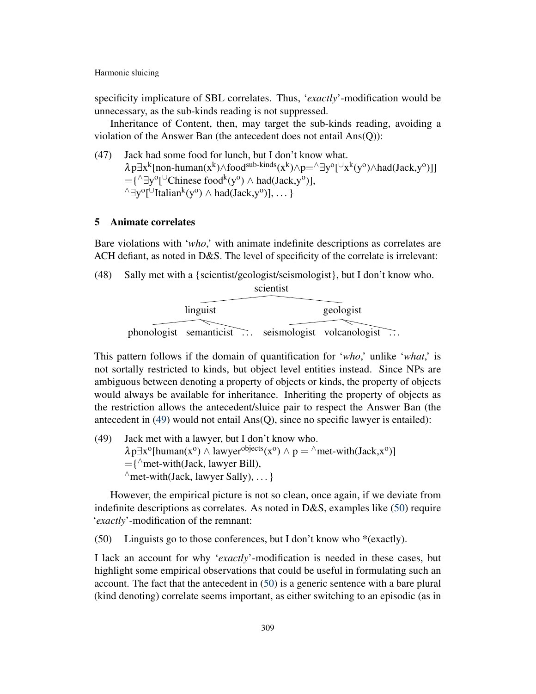specificity implicature of SBL correlates. Thus, '*exactly*'-modification would be unnecessary, as the sub-kinds reading is not suppressed.

Inheritance of Content, then, may target the sub-kinds reading, avoiding a violation of the Answer Ban (the antecedent does not entail Ans(Q)):

(47) Jack had some food for lunch, but I don't know what.  $\lambda p \exists x^k$ [non-human(x<sup>k</sup>)∧food<sup>sub-kinds</sup>(x<sup>k</sup>)∧p=^∃y<sup>o</sup>[<sup>∪</sup>x<sup>k</sup>(y<sup>o</sup>)∧had(Jack,y<sup>o</sup>)]]  $=$ { $\wedge \exists y^{\circ}$ [ $\cup$ Chinese food<sup>k</sup>(y<sup>o</sup>)  $\wedge$  had(Jack,y<sup>o</sup>)],  $^{\wedge}$ ∃y<sup>o</sup>[<sup>∪</sup>Italian<sup>k</sup>(y<sup>o</sup>) ∧ had(Jack,y<sup>o</sup>)], ... }

## 5 Animate correlates

Bare violations with '*who*,' with animate indefinite descriptions as correlates are ACH defiant, as noted in D&S. The level of specificity of the correlate is irrelevant:

(48) Sally met with a {scientist/geologist/seismologist}, but I don't know who.

|          | scientist |                                                    |  |
|----------|-----------|----------------------------------------------------|--|
|          |           |                                                    |  |
| linguist |           | geologist                                          |  |
|          |           |                                                    |  |
|          |           | phonologist semanticist seismologist volcanologist |  |

This pattern follows if the domain of quantification for '*who*,' unlike '*what*,' is not sortally restricted to kinds, but object level entities instead. Since NPs are ambiguous between denoting a property of objects or kinds, the property of objects would always be available for inheritance. Inheriting the property of objects as the restriction allows the antecedent/sluice pair to respect the Answer Ban (the antecedent in [\(49\)](#page-14-0) would not entail Ans(Q), since no specific lawyer is entailed):

<span id="page-14-0"></span>(49) Jack met with a lawyer, but I don't know who.  $\lambda p \exists x^{\circ}$ [human(x<sup>o</sup>)  $\wedge$  lawyer<sup>objects</sup>(x<sup>o</sup>)  $\wedge$  p =  $\wedge$ met-with(Jack,x<sup>o</sup>)]  $=$ { $\wedge$ met-with(Jack, lawyer Bill),  $\land$  met-with(Jack, lawyer Sally), ... }

However, the empirical picture is not so clean, once again, if we deviate from indefinite descriptions as correlates. As noted in D&S, examples like [\(50\)](#page-14-1) require '*exactly*'-modification of the remnant:

<span id="page-14-1"></span>(50) Linguists go to those conferences, but I don't know who \*(exactly).

I lack an account for why '*exactly*'-modification is needed in these cases, but highlight some empirical observations that could be useful in formulating such an account. The fact that the antecedent in [\(50\)](#page-14-1) is a generic sentence with a bare plural (kind denoting) correlate seems important, as either switching to an episodic (as in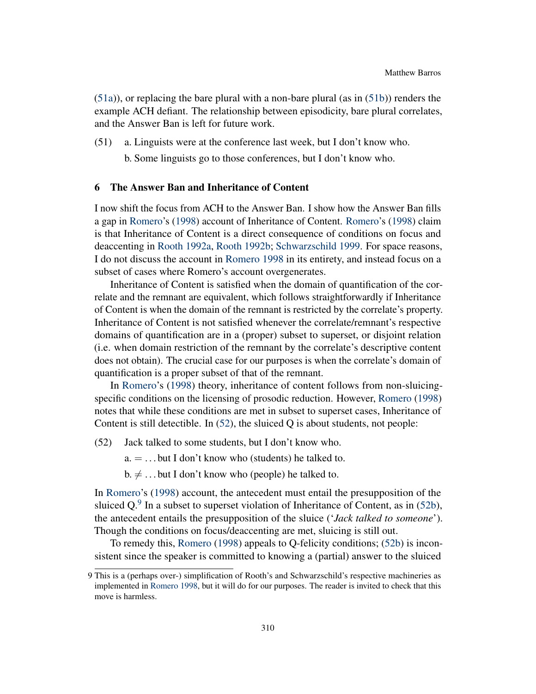$(51a)$ , or replacing the bare plural with a non-bare plural (as in  $(51b)$ ) renders the example ACH defiant. The relationship between episodicity, bare plural correlates, and the Answer Ban is left for future work.

<span id="page-15-1"></span><span id="page-15-0"></span>(51) a. Linguists were at the conference last week, but I don't know who.

b. Some linguists go to those conferences, but I don't know who.

## 6 The Answer Ban and Inheritance of Content

I now shift the focus from ACH to the Answer Ban. I show how the Answer Ban fills a gap in [Romero'](#page-19-0)s [\(1998\)](#page-19-0) account of Inheritance of Content. [Romero'](#page-19-0)s [\(1998\)](#page-19-0) claim is that Inheritance of Content is a direct consequence of conditions on focus and deaccenting in [Rooth](#page-19-11) [1992a,](#page-19-11) [Rooth](#page-19-12) [1992b;](#page-19-12) [Schwarzschild](#page-19-13) [1999.](#page-19-13) For space reasons, I do not discuss the account in [Romero](#page-19-0) [1998](#page-19-0) in its entirety, and instead focus on a subset of cases where Romero's account overgenerates.

Inheritance of Content is satisfied when the domain of quantification of the correlate and the remnant are equivalent, which follows straightforwardly if Inheritance of Content is when the domain of the remnant is restricted by the correlate's property. Inheritance of Content is not satisfied whenever the correlate/remnant's respective domains of quantification are in a (proper) subset to superset, or disjoint relation (i.e. when domain restriction of the remnant by the correlate's descriptive content does not obtain). The crucial case for our purposes is when the correlate's domain of quantification is a proper subset of that of the remnant.

In [Romero'](#page-19-0)s [\(1998\)](#page-19-0) theory, inheritance of content follows from non-sluicingspecific conditions on the licensing of prosodic reduction. However, [Romero](#page-19-0) [\(1998\)](#page-19-0) notes that while these conditions are met in subset to superset cases, Inheritance of Content is still detectible. In [\(52\)](#page-15-2), the sluiced Q is about students, not people:

- <span id="page-15-2"></span>(52) Jack talked to some students, but I don't know who.
	- $a = \ldots$  but I don't know who (students) he talked to.
	- $b. \neq ...$  but I don't know who (people) he talked to.

<span id="page-15-3"></span>In [Romero'](#page-19-0)s [\(1998\)](#page-19-0) account, the antecedent must entail the presupposition of the sluiced Q. $9$  In a subset to superset violation of Inheritance of Content, as in [\(52b\)](#page-15-3), the antecedent entails the presupposition of the sluice ('*Jack talked to someone*'). Though the conditions on focus/deaccenting are met, sluicing is still out.

To remedy this, [Romero](#page-19-0) [\(1998\)](#page-19-0) appeals to Q-felicity conditions; [\(52b\)](#page-15-3) is inconsistent since the speaker is committed to knowing a (partial) answer to the sluiced

<sup>9</sup> This is a (perhaps over-) simplification of Rooth's and Schwarzschild's respective machineries as implemented in [Romero](#page-19-0) [1998,](#page-19-0) but it will do for our purposes. The reader is invited to check that this move is harmless.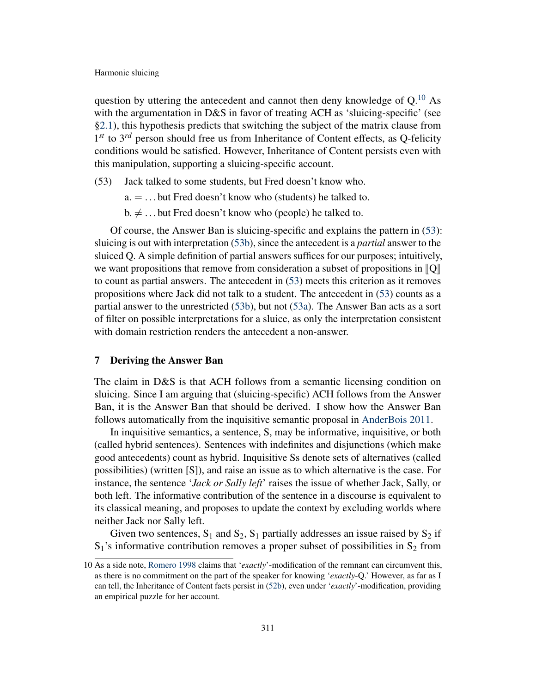question by uttering the antecedent and cannot then deny knowledge of  $Q^{10}$  $Q^{10}$  $Q^{10}$  As with the argumentation in D&S in favor of treating ACH as 'sluicing-specific' (see [§2.1\)](#page-1-3), this hypothesis predicts that switching the subject of the matrix clause from 1<sup>st</sup> to 3<sup>rd</sup> person should free us from Inheritance of Content effects, as Q-felicity conditions would be satisfied. However, Inheritance of Content persists even with this manipulation, supporting a sluicing-specific account.

- <span id="page-16-2"></span><span id="page-16-0"></span>(53) Jack talked to some students, but Fred doesn't know who.
	- a. = . . . but Fred doesn't know who (students) he talked to.
	- $b. \neq ...$  but Fred doesn't know who (people) he talked to.

<span id="page-16-1"></span>Of course, the Answer Ban is sluicing-specific and explains the pattern in [\(53\)](#page-16-0): sluicing is out with interpretation [\(53b\)](#page-16-1), since the antecedent is a *partial* answer to the sluiced Q. A simple definition of partial answers suffices for our purposes; intuitively, we want propositions that remove from consideration a subset of propositions in  $\llbracket Q \rrbracket$ to count as partial answers. The antecedent in [\(53\)](#page-16-0) meets this criterion as it removes propositions where Jack did not talk to a student. The antecedent in [\(53\)](#page-16-0) counts as a partial answer to the unrestricted [\(53b\)](#page-16-1), but not [\(53a\)](#page-16-2). The Answer Ban acts as a sort of filter on possible interpretations for a sluice, as only the interpretation consistent with domain restriction renders the antecedent a non-answer.

## 7 Deriving the Answer Ban

The claim in D&S is that ACH follows from a semantic licensing condition on sluicing. Since I am arguing that (sluicing-specific) ACH follows from the Answer Ban, it is the Answer Ban that should be derived. I show how the Answer Ban follows automatically from the inquisitive semantic proposal in [AnderBois](#page-18-2) [2011.](#page-18-2)

In inquisitive semantics, a sentence, S, may be informative, inquisitive, or both (called hybrid sentences). Sentences with indefinites and disjunctions (which make good antecedents) count as hybrid. Inquisitive Ss denote sets of alternatives (called possibilities) (written [S]), and raise an issue as to which alternative is the case. For instance, the sentence '*Jack or Sally left*' raises the issue of whether Jack, Sally, or both left. The informative contribution of the sentence in a discourse is equivalent to its classical meaning, and proposes to update the context by excluding worlds where neither Jack nor Sally left.

Given two sentences,  $S_1$  and  $S_2$ ,  $S_1$  partially addresses an issue raised by  $S_2$  if  $S_1$ 's informative contribution removes a proper subset of possibilities in  $S_2$  from

<sup>10</sup> As a side note, [Romero](#page-19-0) [1998](#page-19-0) claims that '*exactly*'-modification of the remnant can circumvent this, as there is no commitment on the part of the speaker for knowing '*exactly*-Q.' However, as far as I can tell, the Inheritance of Content facts persist in [\(52b\)](#page-15-3), even under '*exactly*'-modification, providing an empirical puzzle for her account.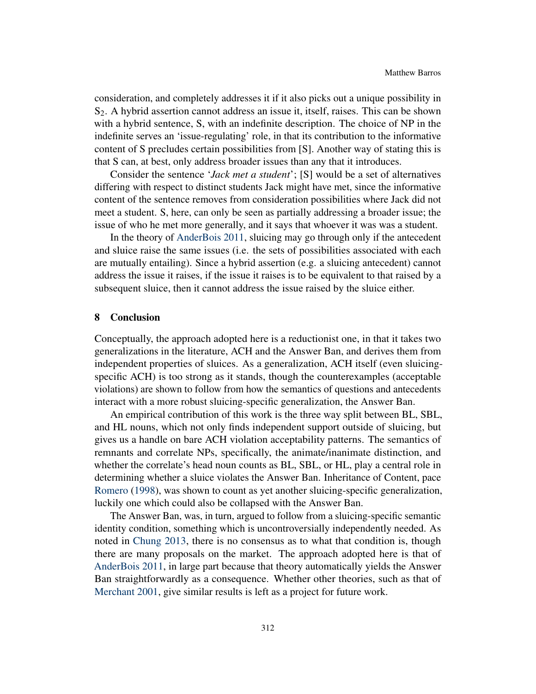consideration, and completely addresses it if it also picks out a unique possibility in  $S<sub>2</sub>$ . A hybrid assertion cannot address an issue it, itself, raises. This can be shown with a hybrid sentence, S, with an indefinite description. The choice of NP in the indefinite serves an 'issue-regulating' role, in that its contribution to the informative content of S precludes certain possibilities from [S]. Another way of stating this is that S can, at best, only address broader issues than any that it introduces.

Consider the sentence '*Jack met a student*'; [S] would be a set of alternatives differing with respect to distinct students Jack might have met, since the informative content of the sentence removes from consideration possibilities where Jack did not meet a student. S, here, can only be seen as partially addressing a broader issue; the issue of who he met more generally, and it says that whoever it was was a student.

In the theory of [AnderBois](#page-18-2) [2011,](#page-18-2) sluicing may go through only if the antecedent and sluice raise the same issues (i.e. the sets of possibilities associated with each are mutually entailing). Since a hybrid assertion (e.g. a sluicing antecedent) cannot address the issue it raises, if the issue it raises is to be equivalent to that raised by a subsequent sluice, then it cannot address the issue raised by the sluice either.

## 8 Conclusion

Conceptually, the approach adopted here is a reductionist one, in that it takes two generalizations in the literature, ACH and the Answer Ban, and derives them from independent properties of sluices. As a generalization, ACH itself (even sluicingspecific ACH) is too strong as it stands, though the counterexamples (acceptable violations) are shown to follow from how the semantics of questions and antecedents interact with a more robust sluicing-specific generalization, the Answer Ban.

An empirical contribution of this work is the three way split between BL, SBL, and HL nouns, which not only finds independent support outside of sluicing, but gives us a handle on bare ACH violation acceptability patterns. The semantics of remnants and correlate NPs, specifically, the animate/inanimate distinction, and whether the correlate's head noun counts as BL, SBL, or HL, play a central role in determining whether a sluice violates the Answer Ban. Inheritance of Content, pace [Romero](#page-19-0) [\(1998\)](#page-19-0), was shown to count as yet another sluicing-specific generalization, luckily one which could also be collapsed with the Answer Ban.

The Answer Ban, was, in turn, argued to follow from a sluicing-specific semantic identity condition, something which is uncontroversially independently needed. As noted in [Chung](#page-18-17) [2013,](#page-18-17) there is no consensus as to what that condition is, though there are many proposals on the market. The approach adopted here is that of [AnderBois](#page-18-2) [2011,](#page-18-2) in large part because that theory automatically yields the Answer Ban straightforwardly as a consequence. Whether other theories, such as that of [Merchant](#page-19-14) [2001,](#page-19-14) give similar results is left as a project for future work.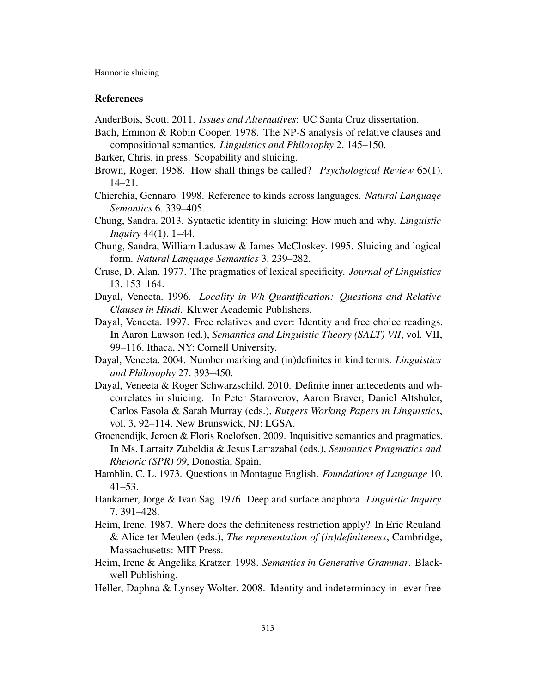## **References**

<span id="page-18-2"></span>AnderBois, Scott. 2011. *Issues and Alternatives*: UC Santa Cruz dissertation.

- <span id="page-18-15"></span>Bach, Emmon & Robin Cooper. 1978. The NP-S analysis of relative clauses and compositional semantics. *Linguistics and Philosophy* 2. 145–150.
- <span id="page-18-1"></span>Barker, Chris. in press. Scopability and sluicing.
- <span id="page-18-9"></span>Brown, Roger. 1958. How shall things be called? *Psychological Review* 65(1). 14–21.
- <span id="page-18-7"></span>Chierchia, Gennaro. 1998. Reference to kinds across languages. *Natural Language Semantics* 6. 339–405.
- <span id="page-18-17"></span>Chung, Sandra. 2013. Syntactic identity in sluicing: How much and why. *Linguistic Inquiry* 44(1). 1–44.
- <span id="page-18-14"></span>Chung, Sandra, William Ladusaw & James McCloskey. 1995. Sluicing and logical form. *Natural Language Semantics* 3. 239–282.
- <span id="page-18-10"></span>Cruse, D. Alan. 1977. The pragmatics of lexical specificity. *Journal of Linguistics* 13. 153–164.
- <span id="page-18-8"></span>Dayal, Veneeta. 1996. *Locality in Wh Quantification: Questions and Relative Clauses in Hindi*. Kluwer Academic Publishers.
- <span id="page-18-12"></span>Dayal, Veneeta. 1997. Free relatives and ever: Identity and free choice readings. In Aaron Lawson (ed.), *Semantics and Linguistic Theory (SALT) VII*, vol. VII, 99–116. Ithaca, NY: Cornell University.
- <span id="page-18-13"></span>Dayal, Veneeta. 2004. Number marking and (in)definites in kind terms. *Linguistics and Philosophy* 27. 393–450.
- <span id="page-18-0"></span>Dayal, Veneeta & Roger Schwarzschild. 2010. Definite inner antecedents and whcorrelates in sluicing. In Peter Staroverov, Aaron Braver, Daniel Altshuler, Carlos Fasola & Sarah Murray (eds.), *Rutgers Working Papers in Linguistics*, vol. 3, 92–114. New Brunswick, NJ: LGSA.
- <span id="page-18-4"></span>Groenendijk, Jeroen & Floris Roelofsen. 2009. Inquisitive semantics and pragmatics. In Ms. Larraitz Zubeldia & Jesus Larrazabal (eds.), *Semantics Pragmatics and Rhetoric (SPR) 09*, Donostia, Spain.
- <span id="page-18-5"></span>Hamblin, C. L. 1973. Questions in Montague English. *Foundations of Language* 10. 41–53.
- <span id="page-18-3"></span>Hankamer, Jorge & Ivan Sag. 1976. Deep and surface anaphora. *Linguistic Inquiry* 7. 391–428.
- <span id="page-18-6"></span>Heim, Irene. 1987. Where does the definiteness restriction apply? In Eric Reuland & Alice ter Meulen (eds.), *The representation of (in)definiteness*, Cambridge, Massachusetts: MIT Press.
- <span id="page-18-16"></span>Heim, Irene & Angelika Kratzer. 1998. *Semantics in Generative Grammar*. Blackwell Publishing.
- <span id="page-18-11"></span>Heller, Daphna & Lynsey Wolter. 2008. Identity and indeterminacy in -ever free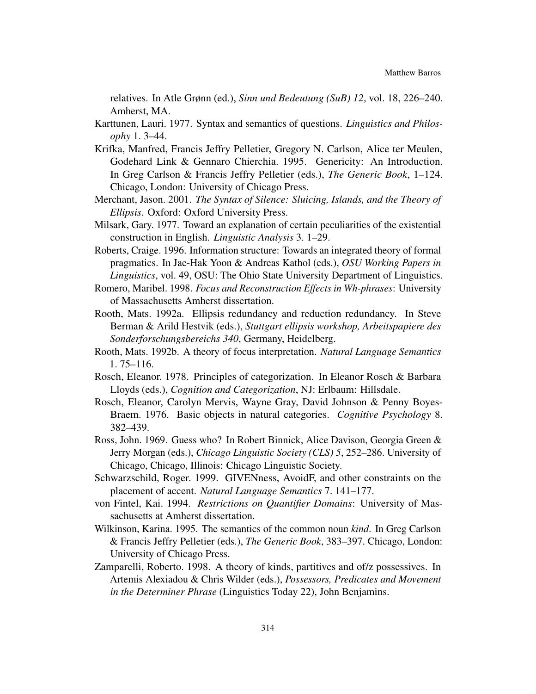relatives. In Atle Grønn (ed.), *Sinn und Bedeutung (SuB) 12*, vol. 18, 226–240. Amherst, MA.

- <span id="page-19-2"></span>Karttunen, Lauri. 1977. Syntax and semantics of questions. *Linguistics and Philosophy* 1. 3–44.
- <span id="page-19-6"></span>Krifka, Manfred, Francis Jeffry Pelletier, Gregory N. Carlson, Alice ter Meulen, Godehard Link & Gennaro Chierchia. 1995. Genericity: An Introduction. In Greg Carlson & Francis Jeffry Pelletier (eds.), *The Generic Book*, 1–124. Chicago, London: University of Chicago Press.
- <span id="page-19-14"></span>Merchant, Jason. 2001. *The Syntax of Silence: Sluicing, Islands, and the Theory of Ellipsis*. Oxford: Oxford University Press.
- <span id="page-19-3"></span>Milsark, Gary. 1977. Toward an explanation of certain peculiarities of the existential construction in English. *Linguistic Analysis* 3. 1–29.
- <span id="page-19-8"></span>Roberts, Craige. 1996. Information structure: Towards an integrated theory of formal pragmatics. In Jae-Hak Yoon & Andreas Kathol (eds.), *OSU Working Papers in Linguistics*, vol. 49, OSU: The Ohio State University Department of Linguistics.
- <span id="page-19-0"></span>Romero, Maribel. 1998. *Focus and Reconstruction Effects in Wh-phrases*: University of Massachusetts Amherst dissertation.
- <span id="page-19-11"></span>Rooth, Mats. 1992a. Ellipsis redundancy and reduction redundancy. In Steve Berman & Arild Hestvik (eds.), *Stuttgart ellipsis workshop, Arbeitspapiere des Sonderforschungsbereichs 340*, Germany, Heidelberg.
- <span id="page-19-12"></span>Rooth, Mats. 1992b. A theory of focus interpretation. *Natural Language Semantics* 1. 75–116.
- <span id="page-19-5"></span>Rosch, Eleanor. 1978. Principles of categorization. In Eleanor Rosch & Barbara Lloyds (eds.), *Cognition and Categorization*, NJ: Erlbaum: Hillsdale.
- <span id="page-19-4"></span>Rosch, Eleanor, Carolyn Mervis, Wayne Gray, David Johnson & Penny Boyes-Braem. 1976. Basic objects in natural categories. *Cognitive Psychology* 8. 382–439.
- <span id="page-19-1"></span>Ross, John. 1969. Guess who? In Robert Binnick, Alice Davison, Georgia Green & Jerry Morgan (eds.), *Chicago Linguistic Society (CLS) 5*, 252–286. University of Chicago, Chicago, Illinois: Chicago Linguistic Society.
- <span id="page-19-13"></span>Schwarzschild, Roger. 1999. GIVENness, AvoidF, and other constraints on the placement of accent. *Natural Language Semantics* 7. 141–177.
- <span id="page-19-7"></span>von Fintel, Kai. 1994. *Restrictions on Quantifier Domains*: University of Massachusetts at Amherst dissertation.
- <span id="page-19-9"></span>Wilkinson, Karina. 1995. The semantics of the common noun *kind*. In Greg Carlson & Francis Jeffry Pelletier (eds.), *The Generic Book*, 383–397. Chicago, London: University of Chicago Press.
- <span id="page-19-10"></span>Zamparelli, Roberto. 1998. A theory of kinds, partitives and of/z possessives. In Artemis Alexiadou & Chris Wilder (eds.), *Possessors, Predicates and Movement in the Determiner Phrase* (Linguistics Today 22), John Benjamins.